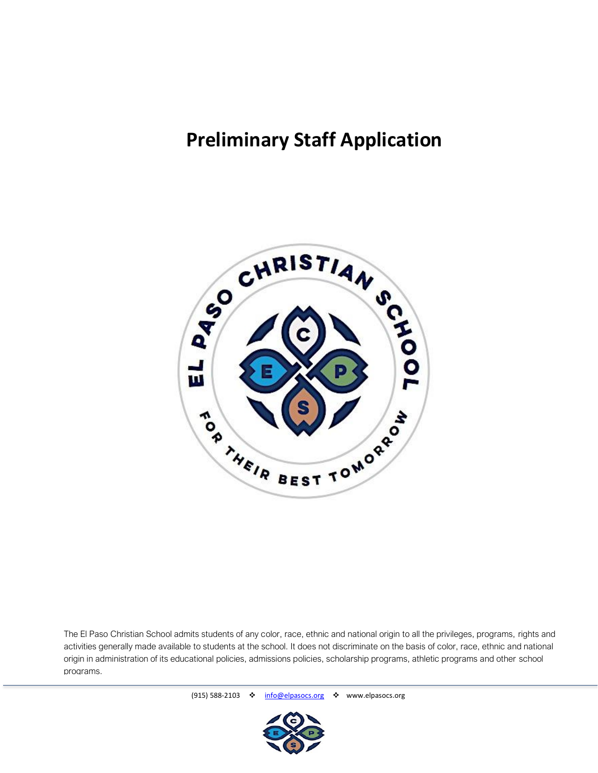## **Preliminary Staff Application**



The El Paso Christian School admits students of any color, race, ethnic and national origin to all the privileges, programs, rights and activities generally made available to students at the school. It does not discriminate on the basis of color, race, ethnic and national origin in administration of its educational policies, admissions policies, scholarship programs, athletic programs and other school programs.

(915) 588-2103 ❖ [info@elpasocs.org](mailto:info@elpasocs.org) ❖ www.elpasocs.org

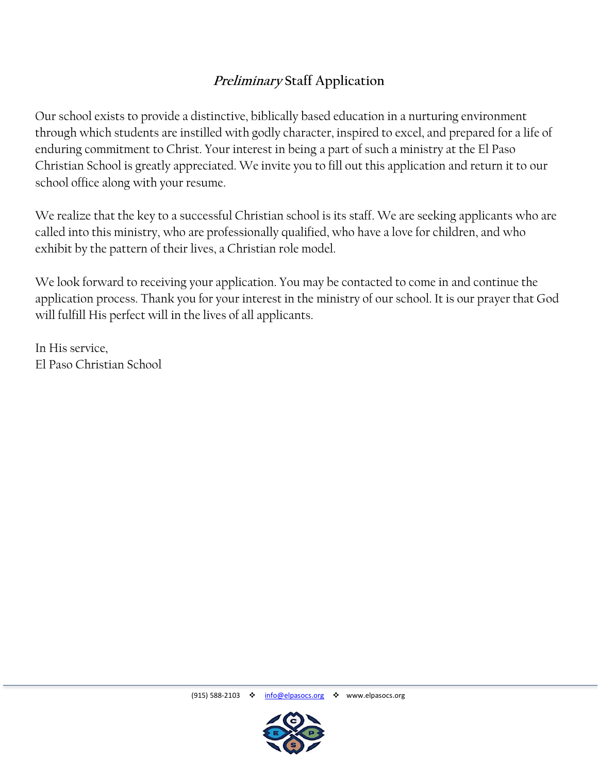## **Preliminary Staff Application**

Our school exists to provide a distinctive, biblically based education in a nurturing environment through which students are instilled with godly character, inspired to excel, and prepared for a life of enduring commitment to Christ. Your interest in being a part of such a ministry at the El Paso Christian School is greatly appreciated. We invite you to fill out this application and return it to our school office along with your resume.

We realize that the key to a successful Christian school is its staff. We are seeking applicants who are called into this ministry, who are professionally qualified, who have a love for children, and who exhibit by the pattern of their lives, a Christian role model.

We look forward to receiving your application. You may be contacted to come in and continue the application process. Thank you for your interest in the ministry of our school. It is our prayer that God will fulfill His perfect will in the lives of all applicants.

In His service, El Paso Christian School

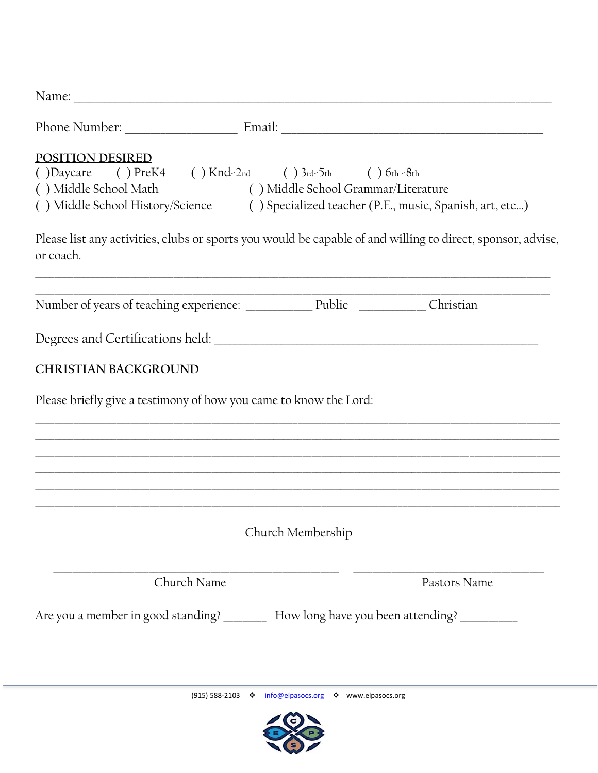| <b>POSITION DESIRED</b><br>()Daycare ()PreK4 ()Knd-2nd ()3rd-5th ()6th-8th<br>() Middle School Math () Middle School Grammar/Literature<br>() Middle School History/Science () Specialized teacher (P.E., music, Spanish, art, etc) |                                                                     |              |
|-------------------------------------------------------------------------------------------------------------------------------------------------------------------------------------------------------------------------------------|---------------------------------------------------------------------|--------------|
| Please list any activities, clubs or sports you would be capable of and willing to direct, sponsor, advise,<br>or coach.                                                                                                            |                                                                     |              |
|                                                                                                                                                                                                                                     |                                                                     |              |
|                                                                                                                                                                                                                                     |                                                                     |              |
| <b>CHRISTIAN BACKGROUND</b>                                                                                                                                                                                                         |                                                                     |              |
| Please briefly give a testimony of how you came to know the Lord:                                                                                                                                                                   |                                                                     |              |
|                                                                                                                                                                                                                                     |                                                                     |              |
|                                                                                                                                                                                                                                     |                                                                     |              |
|                                                                                                                                                                                                                                     |                                                                     |              |
|                                                                                                                                                                                                                                     | Church Membership                                                   |              |
| Church Name                                                                                                                                                                                                                         |                                                                     | Pastors Name |
| Are you a member in good standing? _________ How long have you been attending? ________                                                                                                                                             |                                                                     |              |
|                                                                                                                                                                                                                                     |                                                                     |              |
|                                                                                                                                                                                                                                     | $(915)$ 588-2103 $\cdot$ info@elpasocs.org $\cdot$ www.elpasocs.org |              |